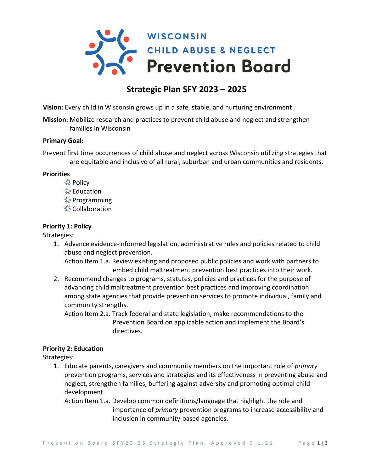

# **Strategic Plan SFY 2023 – 2025**

**Vision:** Every child in Wisconsin grows up in a safe, stable, and nurturing environment

**Mission:** Mobilize research and practices to prevent child abuse and neglect and strengthen families in Wisconsin

### **Primary Goal:**

Prevent first time occurrences of child abuse and neglect across Wisconsin utilizing strategies that are equitable and inclusive of all rural, suburban and urban communities and residents.

#### **Priorities**

- **《Policy**
- **《 Education**
- **《 Programming**
- **茶Collaboration**

### **Priority 1: Policy**

Strategies:

1. Advance evidence-informed legislation, administrative rules and policies related to child abuse and neglect prevention.

Action Item 1.a. Review existing and proposed public policies and work with partners to embed child maltreatment prevention best practices into their work.

2. Recommend changes to programs, statutes, policies and practices for the purpose of advancing child maltreatment prevention best practices and improving coordination among state agencies that provide prevention services to promote individual, family and community strengths.

Action Item 2.a. Track federal and state legislation, make recommendations to the Prevention Board on applicable action and implement the Board's directives.

### **Priority 2: Education**

Strategies:

- 1. Educate parents, caregivers and community members on the important role of *primary* prevention programs, services and strategies and its effectiveness in preventing abuse and neglect, strengthen families, buffering against adversity and promoting optimal child development.
	- Action Item 1.a. Develop common definitions/language that highlight the role and importance of *primary* prevention programs to increase accessibility and inclusion in community-based agencies.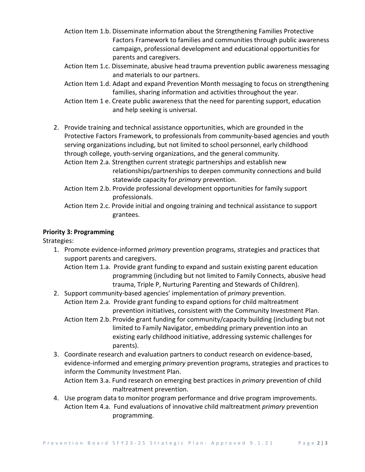- Action Item 1.b. Disseminate information about the Strengthening Families Protective Factors Framework to families and communities through public awareness campaign, professional development and educational opportunities for parents and caregivers.
- Action Item 1.c. Disseminate, abusive head trauma prevention public awareness messaging and materials to our partners.
- Action Item 1.d. Adapt and expand Prevention Month messaging to focus on strengthening families, sharing information and activities throughout the year.
- Action Item 1 e. Create public awareness that the need for parenting support, education and help seeking is universal.
- 2. Provide training and technical assistance opportunities, which are grounded in the Protective Factors Framework, to professionals from community-based agencies and youth serving organizations including, but not limited to school personnel, early childhood through college, youth-serving organizations, and the general community.
	- Action Item 2.a. Strengthen current strategic partnerships and establish new relationships/partnerships to deepen community connections and build statewide capacity for *primary* prevention.
	- Action Item 2.b. Provide professional development opportunities for family support professionals.
	- Action Item 2.c. Provide initial and ongoing training and technical assistance to support grantees.

## **Priority 3: Programming**

Strategies:

- 1. Promote evidence-informed *primary* prevention programs, strategies and practices that support parents and caregivers.
	- Action Item 1.a. Provide grant funding to expand and sustain existing parent education programming (including but not limited to Family Connects, abusive head trauma, Triple P, Nurturing Parenting and Stewards of Children).
- 2. Support community-based agencies' implementation of *primary* prevention.
- Action Item 2.a. Provide grant funding to expand options for child maltreatment prevention initiatives, consistent with the Community Investment Plan.
	- Action Item 2.b. Provide grant funding for community/capacity building (including but not limited to Family Navigator, embedding primary prevention into an existing early childhood initiative, addressing systemic challenges for parents).
- 3. Coordinate research and evaluation partners to conduct research on evidence-based, evidence-informed and emerging *primary* prevention programs, strategies and practices to inform the Community Investment Plan.

Action Item 3.a. Fund research on emerging best practices in *primary* prevention of child maltreatment prevention.

4. Use program data to monitor program performance and drive program improvements. Action Item 4.a. Fund evaluations of innovative child maltreatment *primary* prevention programming.